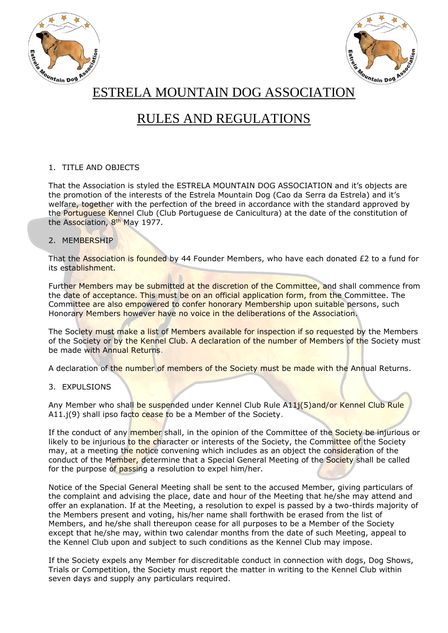



ESTRELA MOUNTAIN DOG ASSOCIATION

# RULES AND REGULATIONS

## 1. TITLE AND OBJECTS

That the Association is styled the ESTRELA MOUNTAIN DOG ASSOCIATION and it's objects are the promotion of the interests of the Estrela Mountain Dog (Cao da Serra da Estrela) and it's welfare, together with the perfection of the breed in accordance with the standard approved by the Portuguese Kennel Club (Club Portuguese de Canicultura) at the date of the constitution of the Association, 8<sup>th</sup> May 1977.

## 2. MEMBERSHIP

That the Association is founded by 44 Founder Members, who have each donated £2 to a fund for its establishment.

Further Members may be submitted at the discretion of the Committee, and shall commence from the date of acceptance. This must be on an official application form, from the Committee. The Committee are also empowered to confer honorary Membership upon suitable persons, such Honorary Members however have no voice in the deliberations of the Association.

The Society must make a list of Members available for inspection if so requested by the Members of the Society or by the Kennel Club. A declaration of the number of Members of the Society must be made with Annual Returns.

A declaration of the number of members of the Society must be made with the Annual Returns.

## 3. EXPULSIONS

Any Member who shall be suspended under Kennel Club Rule A11j(5)and/or Kennel Club Rule A11.j(9) shall ipso facto cease to be a Member of the Society.

If the conduct of any member shall, in the opinion of the Committee of the Society be injurious or likely to be injurious to the character or interests of the Society, the Committee of the Society may, at a meeting the notice convening which includes as an object the consideration of the conduct of the Member, determine that a Special General Meeting of the Society shall be called for the purpose of passing a resolution to expel him/her.

Notice of the Special General Meeting shall be sent to the accused Member, giving particulars of the complaint and advising the place, date and hour of the Meeting that he/she may attend and offer an explanation. If at the Meeting, a resolution to expel is passed by a two-thirds majority of the Members present and voting, his/her name shall forthwith be erased from the list of Members, and he/she shall thereupon cease for all purposes to be a Member of the Society except that he/she may, within two calendar months from the date of such Meeting, appeal to the Kennel Club upon and subject to such conditions as the Kennel Club may impose.

If the Society expels any Member for discreditable conduct in connection with dogs, Dog Shows, Trials or Competition, the Society must report the matter in writing to the Kennel Club within seven days and supply any particulars required.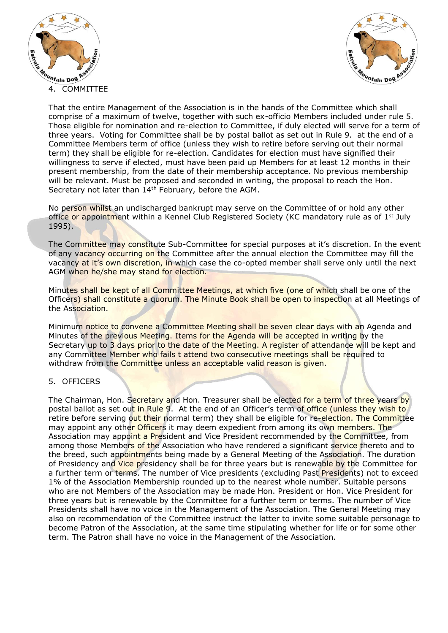



That the entire Management of the Association is in the hands of the Committee which shall comprise of a maximum of twelve, together with such ex-officio Members included under rule 5. Those eligible for nomination and re-election to Committee, if duly elected will serve for a term of three years. Voting for Committee shall be by postal ballot as set out in Rule 9. at the end of a Committee Members term of office (unless they wish to retire before serving out their normal term) they shall be eligible for re-election. Candidates for election must have signified their willingness to serve if elected, must have been paid up Members for at least 12 months in their present membership, from the date of their membership acceptance. No previous membership will be relevant. Must be proposed and seconded in writing, the proposal to reach the Hon. Secretary not later than 14th February, before the AGM.

No person whilst an undischarged bankrupt may serve on the Committee of or hold any other office or appointment within a Kennel Club Registered Society (KC mandatory rule as of 1<sup>st</sup> July 1995).

The Committee may constitute Sub-Committee for special purposes at it's discretion. In the event of any vacancy occurring on the Committee after the annual election the Committee may fill the vacancy at it's own discretion, in which case the co-opted member shall serve only until the next AGM when he/she may stand for election.

Minutes shall be kept of all Committee Meetings, at which five (one of which shall be one of the Officers) shall constitute a quorum. The Minute Book shall be open to inspection at all Meetings of the Association.

Minimum notice to convene a Committee Meeting shall be seven clear days with an Agenda and Minutes of the previous Meeting. Items for the Agenda will be accepted in writing by the Secretary up to 3 days prior to the date of the Meeting. A register of attendance will be kept and any Committee Member who fails t attend two consecutive meetings shall be required to withdraw from the Committee unless an acceptable valid reason is given.

## 5. OFFICERS

The Chairman, Hon. Secretary and Hon. Treasurer shall be elected for a term of three years by postal ballot as set out in Rule 9. At the end of an Officer's term of office (unless they wish to retire before serving out their normal term) they shall be eligible for re-election. The Committee may appoint any other Officers it may deem expedient from among its own members. The Association may appoint a President and Vice President recommended by the Committee, from among those Members of the Association who have rendered a significant service thereto and to the breed, such appointments being made by a General Meeting of the Association. The duration of Presidency and Vice presidency shall be for three years but is renewable by the Committee for a further term or terms. The number of Vice presidents (excluding Past Presidents) not to exceed 1% of the Association Membership rounded up to the nearest whole number. Suitable persons who are not Members of the Association may be made Hon. President or Hon. Vice President for three years but is renewable by the Committee for a further term or terms. The number of Vice Presidents shall have no voice in the Management of the Association. The General Meeting may also on recommendation of the Committee instruct the latter to invite some suitable personage to become Patron of the Association, at the same time stipulating whether for life or for some other term. The Patron shall have no voice in the Management of the Association.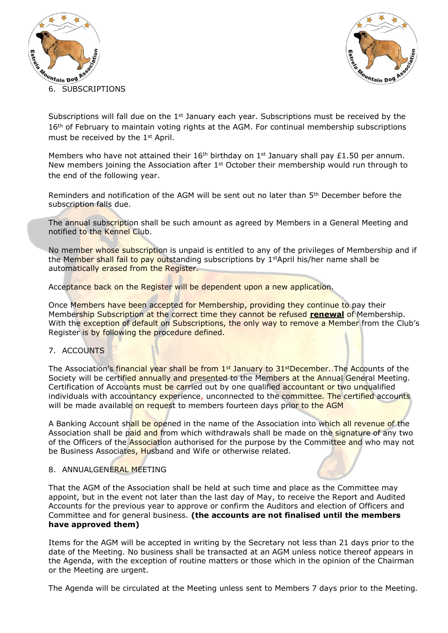



Subscriptions will fall due on the  $1<sup>st</sup>$  January each year. Subscriptions must be received by the 16<sup>th</sup> of February to maintain voting rights at the AGM. For continual membership subscriptions must be received by the 1st April.

Members who have not attained their 16<sup>th</sup> birthday on 1<sup>st</sup> January shall pay £1.50 per annum. New members joining the Association after  $1<sup>st</sup>$  October their membership would run through to the end of the following year.

Reminders and notification of the AGM will be sent out no later than 5th December before the subscription falls due.

The annual subscription shall be such amount as agreed by Members in a General Meeting and notified to the Kennel Club.

No member whose subscription is unpaid is entitled to any of the privileges of Membership and if the Member shall fail to pay outstanding subscriptions by 1<sup>st</sup>April his/her name shall be automatically erased from the Register.

Acceptance back on the Register will be dependent upon a new application.

Once Members have been accepted for Membership, providing they continue to pay their Membership Subscription at the correct time they cannot be refused **renewal** of Membership. With the exception of default on Subscriptions, the only way to remove a Member from the Club's Register is by following the procedure defined.

## 7. ACCOUNTS

The Association's financial year shall be from  $1<sup>st</sup>$  January to  $31<sup>st</sup>$  December..The Accounts of the Society will be certified annually and presented to the Members at the Annual General Meeting. Certification of Accounts must be carried out by one qualified accountant or two unqualified individuals with accountancy experience, unconnected to the committee. The certified accounts will be made available on request to members fourteen days prior to the AGM

A Banking Account shall be opened in the name of the Association into which all revenue of the Association shall be paid and from which withdrawals shall be made on the signature of any two of the Officers of the **Associati**on authorised for the purpose by the Committee and who may not be Business Associates, Husband and Wife or otherwise related.

## 8. ANNUALGENERAL MEETING

That the AGM of the Association shall be held at such time and place as the Committee may appoint, but in the event not later than the last day of May, to receive the Report and Audited Accounts for the previous year to approve or confirm the Auditors and election of Officers and Committee and for general business. **(the accounts are not finalised until the members have approved them)**

Items for the AGM will be accepted in writing by the Secretary not less than 21 days prior to the date of the Meeting. No business shall be transacted at an AGM unless notice thereof appears in the Agenda, with the exception of routine matters or those which in the opinion of the Chairman or the Meeting are urgent.

The Agenda will be circulated at the Meeting unless sent to Members 7 days prior to the Meeting.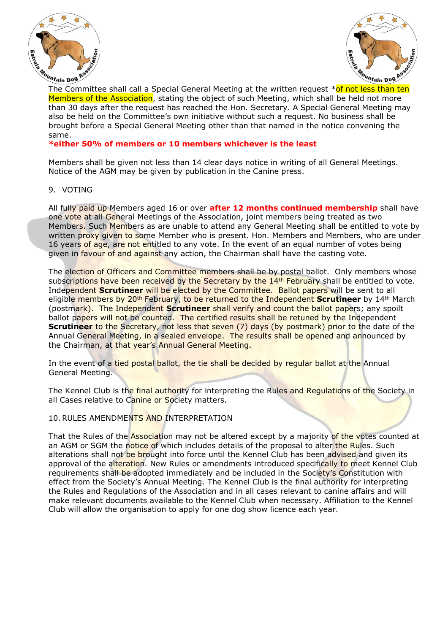



The Committee shall call a Special General Meeting at the written request \*of not less than ten Meuntain pog Resort of the Association, stating the object of such Meeting, which shall be held not more Members of the Association, stating the object of such Meeting, which shall be held not more than 30 days after the request has reached the Hon. Secretary. A Special General Meeting may also be held on the Committee's own initiative without such a request. No business shall be brought before a Special General Meeting other than that named in the notice convening the same.

### **\*either 50% of members or 10 members whichever is the least**

Members shall be given not less than 14 clear days notice in writing of all General Meetings. Notice of the AGM may be given by publication in the Canine press.

#### 9. VOTING

All fully paid up Members aged 16 or over **after 12 months continued membership** shall have one vote at all General Meetings of the Association, joint members being treated as two Members. Such Members as are unable to attend any General Meeting shall be entitled to vote by written proxy given to some Member who is present. Hon. Members and Members, who are under 16 years of age, are not entitled to any vote. In the event of an equal number of votes being given in favour of and against any action, the Chairman shall have the casting vote.

The election of Officers and Committee members shall be by postal ballot. Only members whose subscriptions have been received by the Secretary by the 14<sup>th</sup> February shall be entitled to vote. Independent **Scrutineer** will be elected by the Committee. Ballot papers will be sent to all eligible members by 20th February, to be returned to the Independent **Scrutineer** by 14th March (postmark). The Independent **Scrutineer** shall verify and count the ballot papers; any spoilt ballot papers will not be counted. The certified results shall be retuned by the Independent **Scrutineer** to the Secretary, not less that seven (7) days (by postmark) prior to the date of the Annual General Meeting, in a sealed envelope. The results shall be opened and announced by the Chairman, at that year's Annual General Meeting.

In the event of a tied postal ballot, the tie shall be decided by regular ballot at the Annual General Meeting.

The Kennel Club is the final authority for interpreting the Rules and Regulations of the Society in all Cases relative to Canine or Society matters.

#### 10. RULES AMENDMENTS AND INTERPRETATION

That the Rules of the **Association** may not be altered except by a majority of the votes counted at an AGM or SGM the notice of which includes details of the proposal to alter the Rules. Such alterations shall not be brought into force until the Kennel Club has been advised and given its approval of the alteration. New Rules or amendments introduced specifically to meet Kennel Club requirements shall be adopted immediately and be included in the Society's Constitution with effect from the Society's Annual Meeting. The Kennel Club is the final authority for interpreting the Rules and Regulations of the Association and in all cases relevant to canine affairs and will make relevant documents available to the Kennel Club when necessary. Affiliation to the Kennel Club will allow the organisation to apply for one dog show licence each year.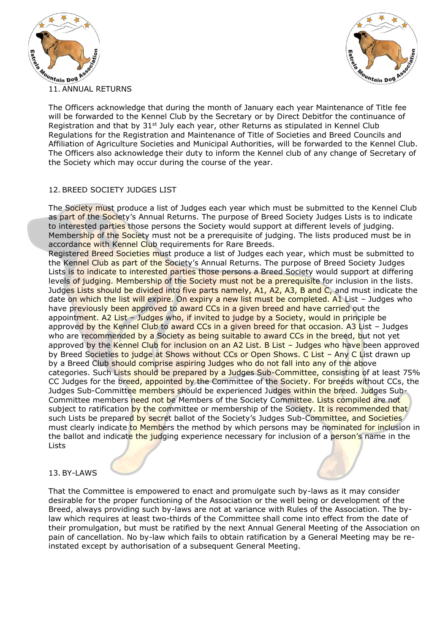



11. ANNUAL RETURNS

The Officers acknowledge that during the month of January each year Maintenance of Title fee will be forwarded to the Kennel Club by the Secretary or by Direct Debitfor the continuance of Registration and that by 31<sup>st</sup> July each year, other Returns as stipulated in Kennel Club Regulations for the Registration and Maintenance of Title of Societies and Breed Councils and Affiliation of Agriculture Societies and Municipal Authorities, will be forwarded to the Kennel Club. The Officers also acknowledge their duty to inform the Kennel club of any change of Secretary of the Society which may occur during the course of the year.

## 12. BREED SOCIETY JUDGES LIST

The Society must produce a list of Judges each year which must be submitted to the Kennel Club as part of the Society's Annual Returns. The purpose of Breed Society Judges Lists is to indicate to interested parties those persons the Society would support at different levels of judging. Membership of the Society must not be a prerequisite of judging. The lists produced must be in accordance with Kennel Club requirements for Rare Breeds.

Registered Breed Societies must produce a list of Judges each year, which must be submitted to the Kennel Club as part of the Society's Annual Returns. The purpose of Breed Society Judges Lists is to indicate to interested parties those persons a Breed Society would support at differing levels of judging. Membership of the Society must not be a prerequisite for inclusion in the lists. Judges Lists should be divided into five parts namely, A1, A2, A3, B and C, and must indicate the date on which the list will expire. On expiry a new list must be completed. A1 List - Judges who have previously been approved to award CCs in a given breed and have carried out the appointment. A2 List – Judges who, if invited to judge by a Society, would in principle be approved by the Kennel Club to award CCs in a given breed for that occasion. A3 List – Judges who are recommended by a Society as being suitable to award CCs in the breed, but not yet approved by the Kennel Club for inclusion on an A2 List. B List – Judges who have been approved by Breed Societies to judge at Shows without CCs or Open Shows. C List - Any C List drawn up by a Breed Club should comprise aspiring Judges who do not fall into any of the above categories. Such Lists should be prepared by a Judges Sub-Committee, consisting of at least 75% CC Judges for the breed, appointed by the Committee of the Society. For breeds without CCs, the Judges Sub-Committee members should be experienced Judges within the breed. Judges Sub-Committee members need not be Members of the Society Committee. Lists compiled are not subject to ratification by the committee or membership of the Society. It is recommended that such Lists be prepared by secret ballot of the Society's Judges Sub-Committee, and Societies must clearly indicate to Members the method by which persons may be nominated for inclusion in the ballot and indicate the judging experience necessary for inclusion of a person's name in the Lists

13. BY-LAWS

That the Committee is empowered to enact and promulgate such by-laws as it may consider desirable for the proper functioning of the Association or the well being or development of the Breed, always providing such by-laws are not at variance with Rules of the Association. The bylaw which requires at least two-thirds of the Committee shall come into effect from the date of their promulgation, but must be ratified by the next Annual General Meeting of the Association on pain of cancellation. No by-law which fails to obtain ratification by a General Meeting may be reinstated except by authorisation of a subsequent General Meeting.